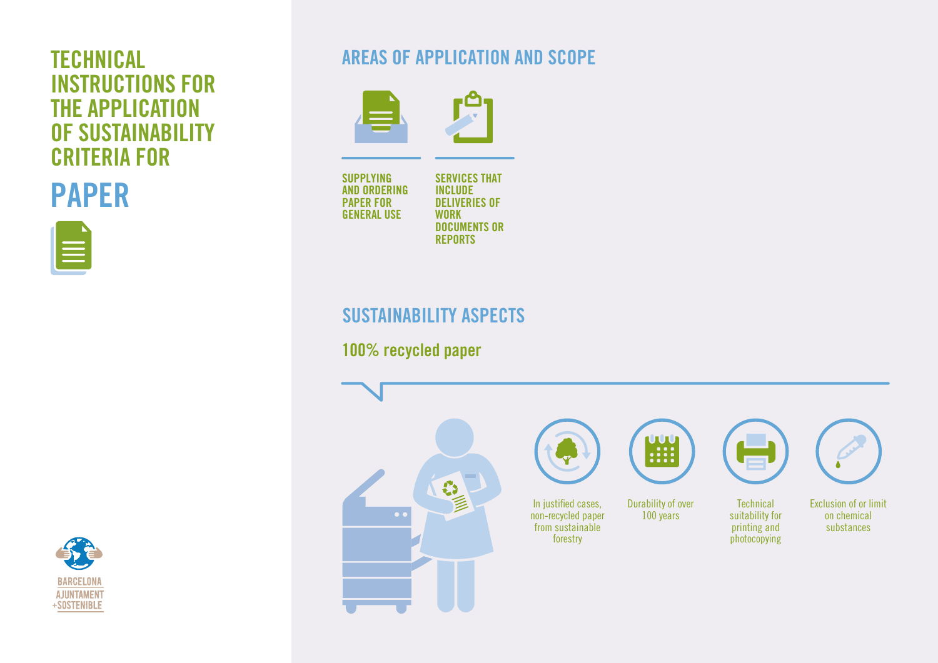# INSTRUCTIONS FOR THE APPLICATION OF SUSTAINABILITY CRITERIA FOR









SUPPLYING AND ORDERING PAPER FOR GENERAL USE

SERVICES THAT INCLUDE DELIVERIES OF WORK DOCUMENTS OR REPORTS

# SUSTAINABILITY ASPECTS

100% recycled paper





Durability of over 100 years

÷ **Technical** 

suitability for printing and photocopying



Exclusion of or limit on chemical substances

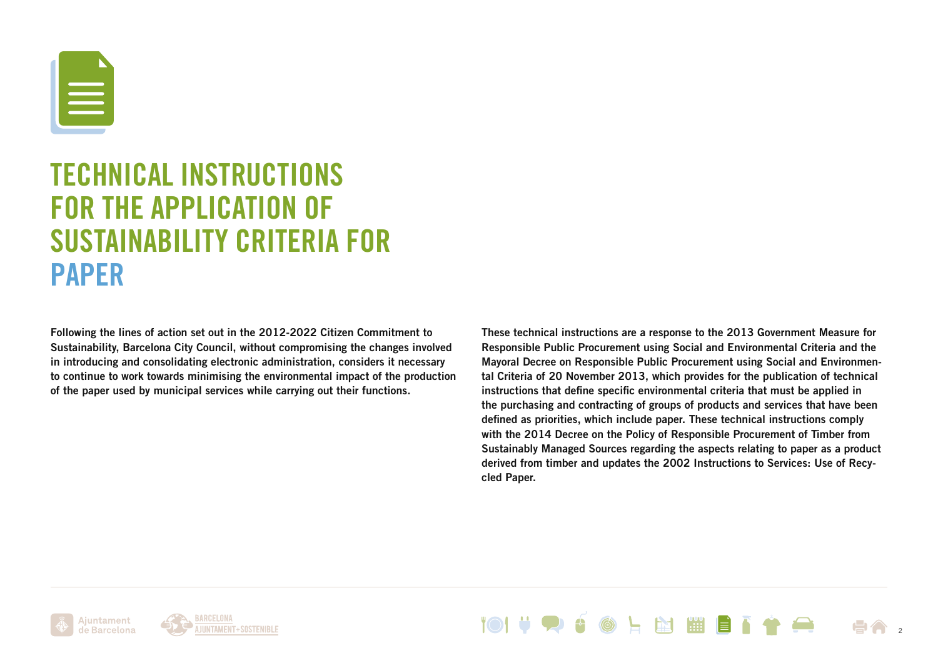

# TECHNICAL INSTRUCTIONS FOR THE APPLICATION OF SUSTAINABILITY CRITERIA FOR PAPER

Following the lines of action set out in the 2012-2022 Citizen Commitment to Sustainability, Barcelona City Council, without compromising the changes involved in introducing and consolidating electronic administration, considers it necessary to continue to work towards minimising the environmental impact of the production of the paper used by municipal services while carrying out their functions.

These technical instructions are a response to the 2013 Government Measure for Responsible Public Procurement using Social and Environmental Criteria and the Mayoral Decree on Responsible Public Procurement using Social and Environmental Criteria of 20 November 2013, which provides for the publication of technical instructions that define specific environmental criteria that must be applied in the purchasing and contracting of groups of products and services that have been defined as priorities, which include paper. These technical instructions comply with the 2014 Decree on the Policy of Responsible Procurement of Timber from Sustainably Managed Sources regarding the aspects relating to paper as a product derived from timber and updates the 2002 Instructions to Services: Use of Recycled Paper.

Ajuntament de Barcelona



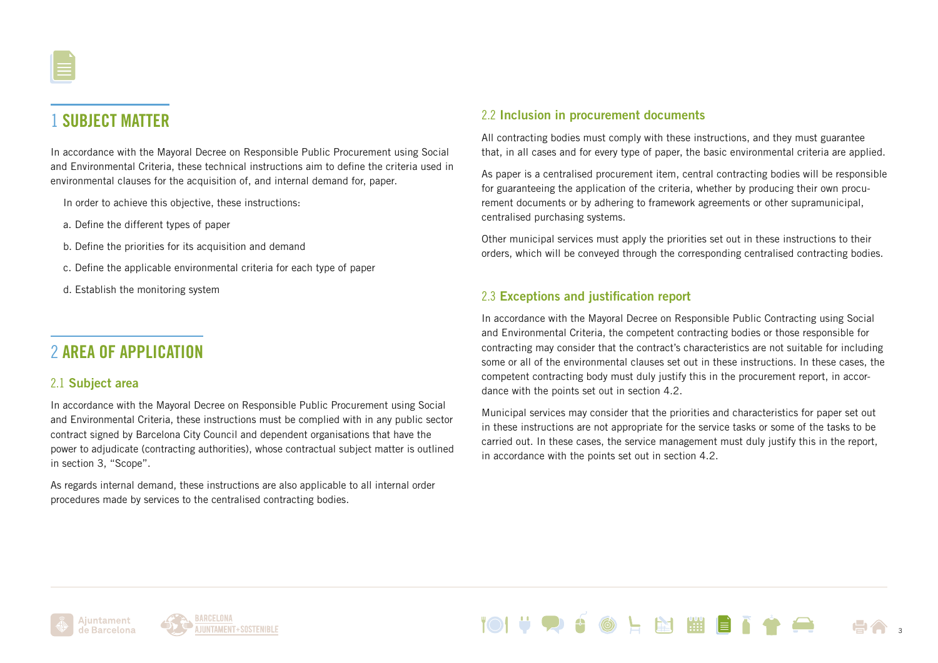# 1 SUBJECT MATTER

In accordance with the Mayoral Decree on Responsible Public Procurement using Social and Environmental Criteria, these technical instructions aim to define the criteria used in environmental clauses for the acquisition of, and internal demand for, paper.

In order to achieve this objective, these instructions:

- a. Define the different types of paper
- b. Define the priorities for its acquisition and demand
- c. Define the applicable environmental criteria for each type of paper
- d. Establish the monitoring system

### 2 AREA OF APPLICATION

#### 2.1 Subject area

In accordance with the Mayoral Decree on Responsible Public Procurement using Social and Environmental Criteria, these instructions must be complied with in any public sector contract signed by Barcelona City Council and dependent organisations that have the power to adjudicate (contracting authorities), whose contractual subject matter is outlined in section 3, "Scope".

As regards internal demand, these instructions are also applicable to all internal order procedures made by services to the centralised contracting bodies.

#### 2.2 Inclusion in procurement documents

All contracting bodies must comply with these instructions, and they must guarantee that, in all cases and for every type of paper, the basic environmental criteria are applied.

As paper is a centralised procurement item, central contracting bodies will be responsible for guaranteeing the application of the criteria, whether by producing their own procurement documents or by adhering to framework agreements or other supramunicipal, centralised purchasing systems.

Other municipal services must apply the priorities set out in these instructions to their orders, which will be conveyed through the corresponding centralised contracting bodies.

#### 2.3 Exceptions and justification report

In accordance with the Mayoral Decree on Responsible Public Contracting using Social and Environmental Criteria, the competent contracting bodies or those responsible for contracting may consider that the contract's characteristics are not suitable for including some or all of the environmental clauses set out in these instructions. In these cases, the competent contracting body must duly justify this in the procurement report, in accordance with the points set out in section 4.2.

Municipal services may consider that the priorities and characteristics for paper set out in these instructions are not appropriate for the service tasks or some of the tasks to be carried out. In these cases, the service management must duly justify this in the report, in accordance with the points set out in section 4.2.

**EST 1999** 

3



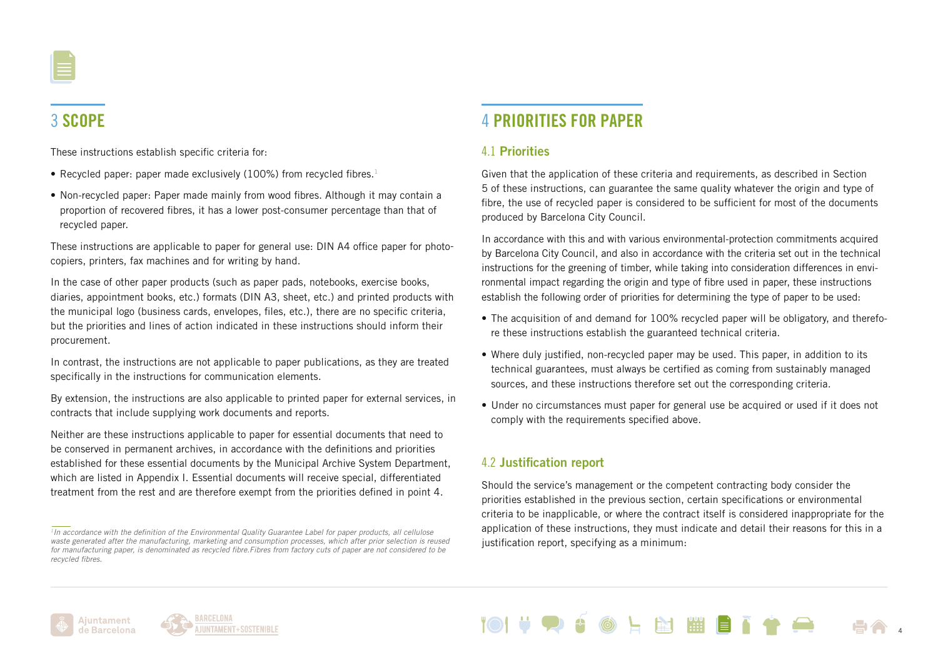

# 3 SCOPE

These instructions establish specific criteria for:

- Recycled paper: paper made exclusively (100%) from recycled fibres.<sup>1</sup>
- Non-recycled paper: Paper made mainly from wood fibres. Although it may contain a proportion of recovered fibres, it has a lower post-consumer percentage than that of recycled paper.

These instructions are applicable to paper for general use: DIN A4 office paper for photocopiers, printers, fax machines and for writing by hand.

In the case of other paper products (such as paper pads, notebooks, exercise books, diaries, appointment books, etc.) formats (DIN A3, sheet, etc.) and printed products with the municipal logo (business cards, envelopes, files, etc.), there are no specific criteria, but the priorities and lines of action indicated in these instructions should inform their procurement.

In contrast, the instructions are not applicable to paper publications, as they are treated specifically in the instructions for communication elements.

By extension, the instructions are also applicable to printed paper for external services, in contracts that include supplying work documents and reports.

Neither are these instructions applicable to paper for essential documents that need to be conserved in permanent archives, in accordance with the definitions and priorities established for these essential documents by the Municipal Archive System Department, which are listed in Appendix I. Essential documents will receive special, differentiated treatment from the rest and are therefore exempt from the priorities defined in point 4.

# 4 PRIORITIES FOR PAPER

#### 4.1 Priorities

Given that the application of these criteria and requirements, as described in Section 5 of these instructions, can guarantee the same quality whatever the origin and type of fibre, the use of recycled paper is considered to be sufficient for most of the documents produced by Barcelona City Council.

In accordance with this and with various environmental-protection commitments acquired by Barcelona City Council, and also in accordance with the criteria set out in the technical instructions for the greening of timber, while taking into consideration differences in environmental impact regarding the origin and type of fibre used in paper, these instructions establish the following order of priorities for determining the type of paper to be used:

- The acquisition of and demand for 100% recycled paper will be obligatory, and therefore these instructions establish the guaranteed technical criteria.
- Where duly justified, non-recycled paper may be used. This paper, in addition to its technical guarantees, must always be certified as coming from sustainably managed sources, and these instructions therefore set out the corresponding criteria.
- Under no circumstances must paper for general use be acquired or used if it does not comply with the requirements specified above.

#### 4.2 Justification report

Should the service's management or the competent contracting body consider the priorities established in the previous section, certain specifications or environmental criteria to be inapplicable, or where the contract itself is considered inappropriate for the application of these instructions, they must indicate and detail their reasons for this in a justification report, specifying as a minimum:





*<sup>1</sup>In accordance with the definition of the Environmental Quality Guarantee Label for paper products, all cellulose waste generated after the manufacturing, marketing and consumption processes, which after prior selection is reused for manufacturing paper, is denominated as recycled fibre.Fibres from factory cuts of paper are not considered to be recycled fibres.*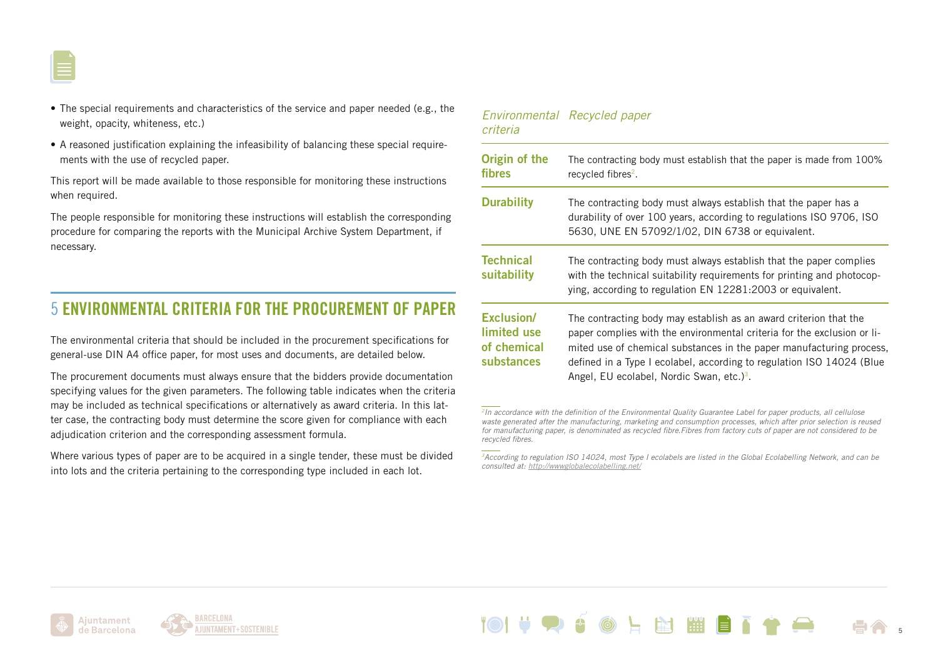

- The special requirements and characteristics of the service and paper needed (e.g., the weight, opacity, whiteness, etc.)
- A reasoned justification explaining the infeasibility of balancing these special requirements with the use of recycled paper.

This report will be made available to those responsible for monitoring these instructions when required.

The people responsible for monitoring these instructions will establish the corresponding procedure for comparing the reports with the Municipal Archive System Department, if necessary.

### 5 ENVIRONMENTAL CRITERIA FOR THE PROCUREMENT OF PAPER

The environmental criteria that should be included in the procurement specifications for general-use DIN A4 office paper, for most uses and documents, are detailed below.

The procurement documents must always ensure that the bidders provide documentation specifying values for the given parameters. The following table indicates when the criteria may be included as technical specifications or alternatively as award criteria. In this latter case, the contracting body must determine the score given for compliance with each adjudication criterion and the corresponding assessment formula.

Where various types of paper are to be acquired in a single tender, these must be divided into lots and the criteria pertaining to the corresponding type included in each lot.

| criteria                                               | Environmental Recycled paper                                                                                                                                                                                                                                                                                                                           |
|--------------------------------------------------------|--------------------------------------------------------------------------------------------------------------------------------------------------------------------------------------------------------------------------------------------------------------------------------------------------------------------------------------------------------|
| Origin of the<br><b>fibres</b>                         | The contracting body must establish that the paper is made from 100%<br>recycled fibres <sup>2</sup> .                                                                                                                                                                                                                                                 |
| <b>Durability</b>                                      | The contracting body must always establish that the paper has a<br>durability of over 100 years, according to regulations ISO 9706, ISO<br>5630, UNE EN 57092/1/02, DIN 6738 or equivalent.                                                                                                                                                            |
| <b>Technical</b><br>suitability                        | The contracting body must always establish that the paper complies<br>with the technical suitability requirements for printing and photocop-<br>ying, according to regulation EN 12281:2003 or equivalent.                                                                                                                                             |
| Exclusion/<br>limited use<br>of chemical<br>substances | The contracting body may establish as an award criterion that the<br>paper complies with the environmental criteria for the exclusion or li-<br>mited use of chemical substances in the paper manufacturing process,<br>defined in a Type I ecolabel, according to regulation ISO 14024 (Blue<br>Angel, EU ecolabel, Nordic Swan, etc.) <sup>3</sup> . |

*<sup>2</sup>In accordance with the definition of the Environmental Quality Guarantee Label for paper products, all cellulose waste generated after the manufacturing, marketing and consumption processes, which after prior selection is reused for manufacturing paper, is denominated as recycled fibre.Fibres from factory cuts of paper are not considered to be recycled fibres.*

5





*<sup>3</sup>According to regulation ISO 14024, most Type I ecolabels are listed in the Global Ecolabelling Network, and can be consulted at: [http://wwwglobalecolabelling.net/](http://www.globalecolabelling.net/)*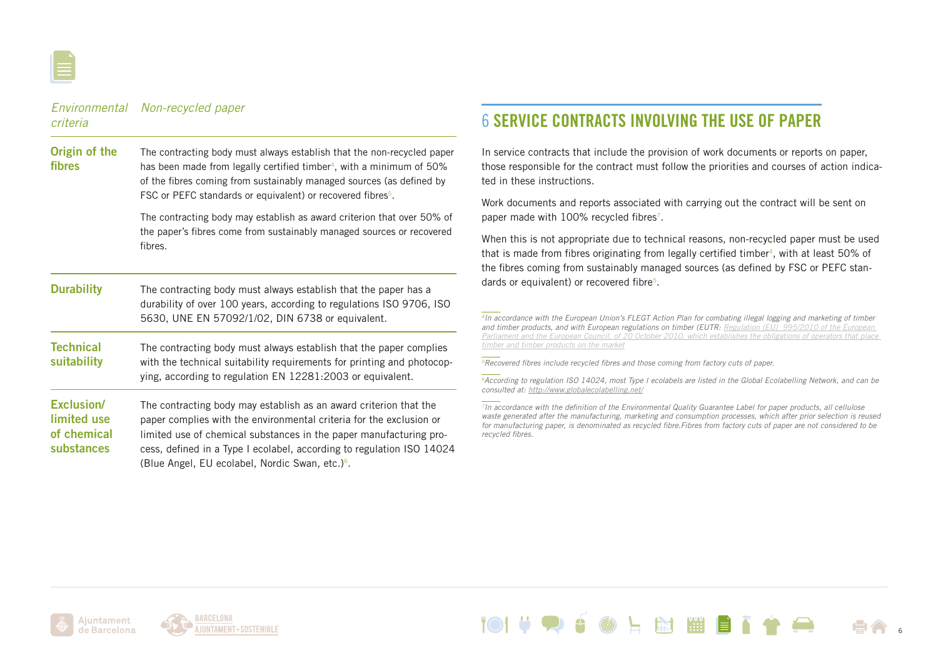

| criteria                                                      | Environmental Non-recycled paper                                                                                                                                                                                                                                                                                                                       |
|---------------------------------------------------------------|--------------------------------------------------------------------------------------------------------------------------------------------------------------------------------------------------------------------------------------------------------------------------------------------------------------------------------------------------------|
| Origin of the<br>fibres                                       | The contracting body must always establish that the non-recycled paper<br>has been made from legally certified timber <sup>4</sup> , with a minimum of 50%<br>of the fibres coming from sustainably managed sources (as defined by<br>FSC or PEFC standards or equivalent) or recovered fibres <sup>5</sup> .                                          |
|                                                               | The contracting body may establish as award criterion that over 50% of<br>the paper's fibres come from sustainably managed sources or recovered<br>fibres.                                                                                                                                                                                             |
| <b>Durability</b>                                             | The contracting body must always establish that the paper has a<br>durability of over 100 years, according to regulations ISO 9706, ISO<br>5630, UNE EN 57092/1/02, DIN 6738 or equivalent.                                                                                                                                                            |
| <b>Technical</b><br>suitability                               | The contracting body must always establish that the paper complies<br>with the technical suitability requirements for printing and photocop-<br>ying, according to regulation EN 12281:2003 or equivalent.                                                                                                                                             |
| <b>Exclusion/</b><br>limited use<br>of chemical<br>substances | The contracting body may establish as an award criterion that the<br>paper complies with the environmental criteria for the exclusion or<br>limited use of chemical substances in the paper manufacturing pro-<br>cess, defined in a Type I ecolabel, according to regulation ISO 14024<br>(Blue Angel, EU ecolabel, Nordic Swan, etc.) <sup>6</sup> . |

## 6 SERVICE CONTRACTS INVOLVING THE USE OF PAPER

In service contracts that include the provision of work documents or reports on paper, those responsible for the contract must follow the priorities and courses of action indicated in these instructions.

Work documents and reports associated with carrying out the contract will be sent on paper made with 100% recycled fibres<sup>7</sup>.

When this is not appropriate due to technical reasons, non-recycled paper must be used that is made from fibres originating from legally certified timber4, with at least 50% of the fibres coming from sustainably managed sources (as defined by FSC or PEFC standards or equivalent) or recovered fibre<sup>5</sup>.

*4In accordance with the European Union's FLEGT Action Plan for combating illegal logging and marketing of timber and timber products, and with European regulations on timber (EUTR: [Regulation \(EU\) 995/2010 of the European](http://eur-lex.europa.eu/legal-content/ES/TXT/?uri=uriserv:OJ.L_.2010.295.01.0023.01.SPA)  [Parliament and the European Council, of 20 October 2010, which establishes the obligations of operators that place](http://eur-lex.europa.eu/legal-content/ES/TXT/?uri=uriserv:OJ.L_.2010.295.01.0023.01.SPA)  [timber and timber products on the market](http://eur-lex.europa.eu/legal-content/ES/TXT/?uri=uriserv:OJ.L_.2010.295.01.0023.01.SPA)*

*5Recovered fibres include recycled fibres and those coming from factory cuts of paper.*

*6According to regulation ISO 14024, most Type I ecolabels are listed in the Global Ecolabelling Network, and can be consulted at:<http://www.globalecolabelling.net/>*

*7In accordance with the definition of the Environmental Quality Guarantee Label for paper products, all cellulose waste generated after the manufacturing, marketing and consumption processes, which after prior selection is reused for manufacturing paper, is denominated as recycled fibre.Fibres from factory cuts of paper are not considered to be recycled fibres.*

L M

**PH** 

6

an an an S



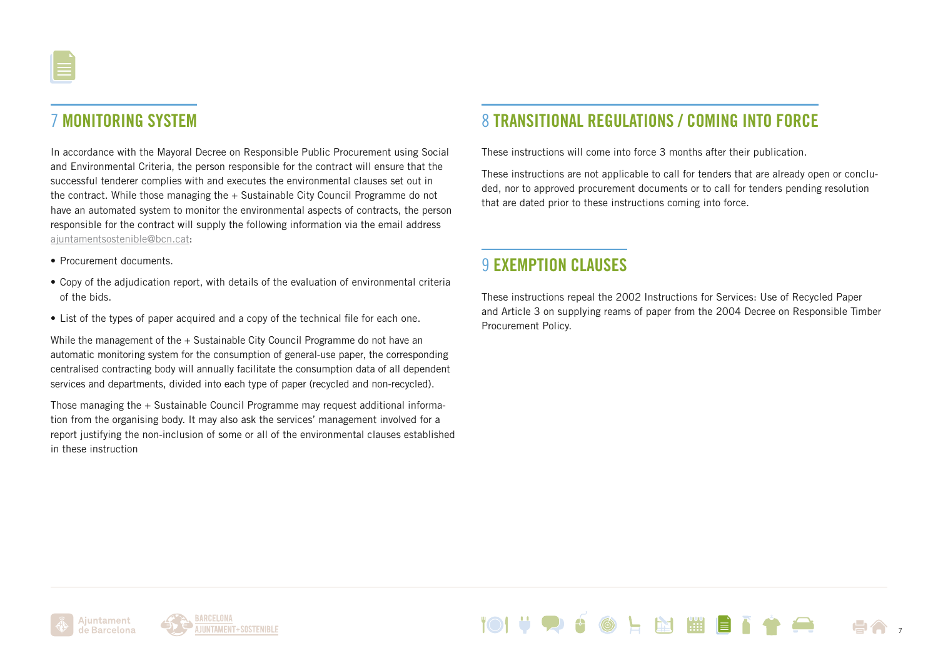# 7 MONITORING SYSTEM

In accordance with the Mayoral Decree on Responsible Public Procurement using Social and Environmental Criteria, the person responsible for the contract will ensure that the successful tenderer complies with and executes the environmental clauses set out in the contract. While those managing the + Sustainable City Council Programme do not have an automated system to monitor the environmental aspects of contracts, the person responsible for the contract will supply the following information via the email address [ajuntamentsostenible@bcn.cat:](mailto:ajuntamentsostenible%40bcn.cat?subject=)

- Procurement documents.
- Copy of the adjudication report, with details of the evaluation of environmental criteria of the bids.
- List of the types of paper acquired and a copy of the technical file for each one.

While the management of the + Sustainable City Council Programme do not have an automatic monitoring system for the consumption of general-use paper, the corresponding centralised contracting body will annually facilitate the consumption data of all dependent services and departments, divided into each type of paper (recycled and non-recycled).

Those managing the + Sustainable Council Programme may request additional information from the organising body. It may also ask the services' management involved for a report justifying the non-inclusion of some or all of the environmental clauses established in these instruction

## 8 TRANSITIONAL REGULATIONS / COMING INTO FORCE

These instructions will come into force 3 months after their publication.

These instructions are not applicable to call for tenders that are already open or concluded, nor to approved procurement documents or to call for tenders pending resolution that are dated prior to these instructions coming into force.

### **9 EXEMPTION CLAUSES**

These instructions repeal the 2002 Instructions for Services: Use of Recycled Paper and Article 3 on supplying reams of paper from the 2004 Decree on Responsible Timber Procurement Policy.